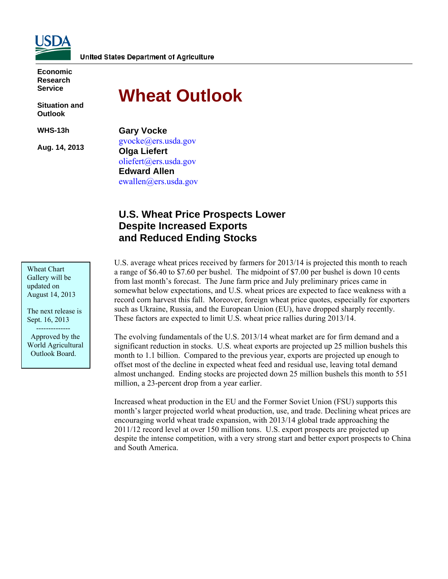

**Economic Research Service** 

**Situation and Outlook** 

**WHS-13h** 

**Aug. 14, 2013** 

# **Wheat Outlook**

**Gary Vocke**  gvocke@ers.usda.gov **Olga Liefert**  oliefert@ers.usda.gov **Edward Allen**  ewallen@ers.usda.gov

# **U.S. Wheat Price Prospects Lower Despite Increased Exports and Reduced Ending Stocks**

Wheat Chart Gallery will be updated on August 14, 2013

The next release is Sept. 16, 2013

 -------------- Approved by the World Agricultural Outlook Board.

U.S. average wheat prices received by farmers for 2013/14 is projected this month to reach a range of \$6.40 to \$7.60 per bushel. The midpoint of \$7.00 per bushel is down 10 cents from last month's forecast. The June farm price and July preliminary prices came in somewhat below expectations, and U.S. wheat prices are expected to face weakness with a record corn harvest this fall. Moreover, foreign wheat price quotes, especially for exporters such as Ukraine, Russia, and the European Union (EU), have dropped sharply recently. These factors are expected to limit U.S. wheat price rallies during 2013/14.

The evolving fundamentals of the U.S. 2013/14 wheat market are for firm demand and a significant reduction in stocks. U.S. wheat exports are projected up 25 million bushels this month to 1.1 billion. Compared to the previous year, exports are projected up enough to offset most of the decline in expected wheat feed and residual use, leaving total demand almost unchanged. Ending stocks are projected down 25 million bushels this month to 551 million, a 23-percent drop from a year earlier.

Increased wheat production in the EU and the Former Soviet Union (FSU) supports this month's larger projected world wheat production, use, and trade. Declining wheat prices are encouraging world wheat trade expansion, with 2013/14 global trade approaching the 2011/12 record level at over 150 million tons. U.S. export prospects are projected up despite the intense competition, with a very strong start and better export prospects to China and South America.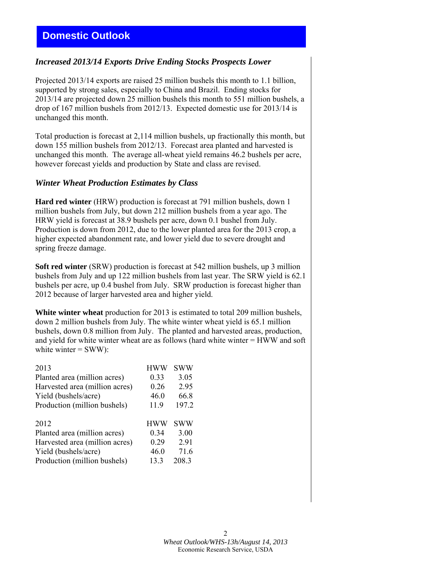# *Increased 2013/14 Exports Drive Ending Stocks Prospects Lower*

Projected 2013/14 exports are raised 25 million bushels this month to 1.1 billion, supported by strong sales, especially to China and Brazil. Ending stocks for 2013/14 are projected down 25 million bushels this month to 551 million bushels, a drop of 167 million bushels from 2012/13. Expected domestic use for 2013/14 is unchanged this month.

Total production is forecast at 2,114 million bushels, up fractionally this month, but down 155 million bushels from 2012/13. Forecast area planted and harvested is unchanged this month. The average all-wheat yield remains 46.2 bushels per acre, however forecast yields and production by State and class are revised.

### *Winter Wheat Production Estimates by Class*

**Hard red winter** (HRW) production is forecast at 791 million bushels, down 1 million bushels from July, but down 212 million bushels from a year ago. The HRW yield is forecast at 38.9 bushels per acre, down 0.1 bushel from July. Production is down from 2012, due to the lower planted area for the 2013 crop, a higher expected abandonment rate, and lower yield due to severe drought and spring freeze damage.

**Soft red winter** (SRW) production is forecast at 542 million bushels, up 3 million bushels from July and up 122 million bushels from last year. The SRW yield is 62.1 bushels per acre, up 0.4 bushel from July. SRW production is forecast higher than 2012 because of larger harvested area and higher yield.

**White winter wheat** production for 2013 is estimated to total 209 million bushels, down 2 million bushels from July. The white winter wheat yield is 65.1 million bushels, down 0.8 million from July. The planted and harvested areas, production, and yield for white winter wheat are as follows (hard white winter = HWW and soft white winter  $=$  SWW):

| HWW        | SWW   |
|------------|-------|
| 0.33       | 3.05  |
| 0.26       | 2.95  |
| 46.0       | 66.8  |
| 11.9       | 197.2 |
|            |       |
| <b>HWW</b> | SWW   |
| 0.34       | 3.00  |
| 0.29       | 291   |
| 46.0       | 71.6  |
| 13.3       | 208.3 |
|            |       |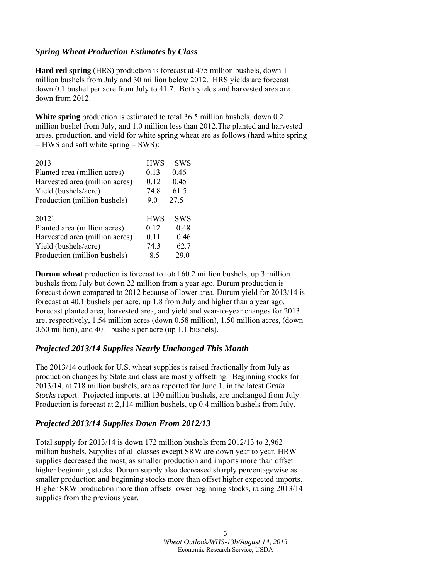### *Spring Wheat Production Estimates by Class*

**Hard red spring** (HRS) production is forecast at 475 million bushels, down 1 million bushels from July and 30 million below 2012. HRS yields are forecast down 0.1 bushel per acre from July to 41.7. Both yields and harvested area are down from 2012.

**White spring** production is estimated to total 36.5 million bushels, down 0.2 million bushel from July, and 1.0 million less than 2012.The planted and harvested areas, production, and yield for white spring wheat are as follows (hard white spring = HWS and soft white spring = SWS):

| 2013                           | <b>HWS</b> | <b>SWS</b> |
|--------------------------------|------------|------------|
| Planted area (million acres)   | 0.13       | 0.46       |
| Harvested area (million acres) | 0.12       | 0.45       |
| Yield (bushels/acre)           | 74.8       | 61.5       |
| Production (million bushels)   | 90         | 27.5       |
|                                |            |            |
|                                |            |            |
| 2012                           | <b>HWS</b> | <b>SWS</b> |
| Planted area (million acres)   | 0.12       | 0.48       |
| Harvested area (million acres) | 0.11       | 0.46       |
| Yield (bushels/acre)           | 74.3       | 62.7       |

**Durum wheat** production is forecast to total 60.2 million bushels, up 3 million bushels from July but down 22 million from a year ago. Durum production is forecast down compared to 2012 because of lower area. Durum yield for 2013/14 is forecast at 40.1 bushels per acre, up 1.8 from July and higher than a year ago. Forecast planted area, harvested area, and yield and year-to-year changes for 2013 are, respectively, 1.54 million acres (down 0.58 million), 1.50 million acres, (down 0.60 million), and 40.1 bushels per acre (up 1.1 bushels).

# *Projected 2013/14 Supplies Nearly Unchanged This Month*

The 2013/14 outlook for U.S. wheat supplies is raised fractionally from July as production changes by State and class are mostly offsetting. Beginning stocks for 2013/14, at 718 million bushels, are as reported for June 1, in the latest *Grain Stocks* report. Projected imports, at 130 million bushels, are unchanged from July. Production is forecast at 2,114 million bushels, up 0.4 million bushels from July.

# *Projected 2013/14 Supplies Down From 2012/13*

Total supply for 2013/14 is down 172 million bushels from 2012/13 to 2,962 million bushels. Supplies of all classes except SRW are down year to year. HRW supplies decreased the most, as smaller production and imports more than offset higher beginning stocks. Durum supply also decreased sharply percentagewise as smaller production and beginning stocks more than offset higher expected imports. Higher SRW production more than offsets lower beginning stocks, raising 2013/14 supplies from the previous year.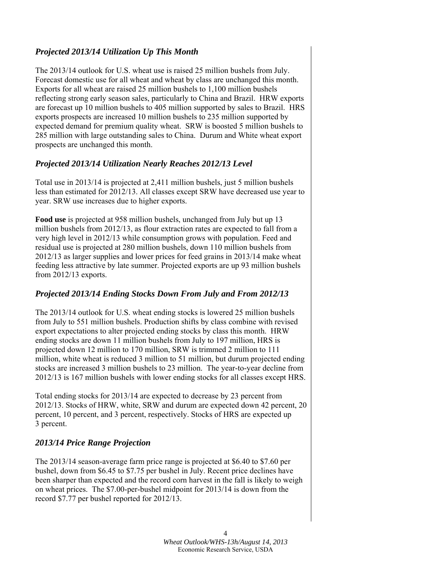# *Projected 2013/14 Utilization Up This Month*

The 2013/14 outlook for U.S. wheat use is raised 25 million bushels from July. Forecast domestic use for all wheat and wheat by class are unchanged this month. Exports for all wheat are raised 25 million bushels to 1,100 million bushels reflecting strong early season sales, particularly to China and Brazil. HRW exports are forecast up 10 million bushels to 405 million supported by sales to Brazil. HRS exports prospects are increased 10 million bushels to 235 million supported by expected demand for premium quality wheat. SRW is boosted 5 million bushels to 285 million with large outstanding sales to China. Durum and White wheat export prospects are unchanged this month.

# *Projected 2013/14 Utilization Nearly Reaches 2012/13 Level*

Total use in 2013/14 is projected at 2,411 million bushels, just 5 million bushels less than estimated for 2012/13. All classes except SRW have decreased use year to year. SRW use increases due to higher exports.

**Food use** is projected at 958 million bushels, unchanged from July but up 13 million bushels from 2012/13, as flour extraction rates are expected to fall from a very high level in 2012/13 while consumption grows with population. Feed and residual use is projected at 280 million bushels, down 110 million bushels from 2012/13 as larger supplies and lower prices for feed grains in 2013/14 make wheat feeding less attractive by late summer. Projected exports are up 93 million bushels from 2012/13 exports.

# *Projected 2013/14 Ending Stocks Down From July and From 2012/13*

The 2013/14 outlook for U.S. wheat ending stocks is lowered 25 million bushels from July to 551 million bushels. Production shifts by class combine with revised export expectations to alter projected ending stocks by class this month. HRW ending stocks are down 11 million bushels from July to 197 million, HRS is projected down 12 million to 170 million, SRW is trimmed 2 million to 111 million, white wheat is reduced 3 million to 51 million, but durum projected ending stocks are increased 3 million bushels to 23 million. The year-to-year decline from 2012/13 is 167 million bushels with lower ending stocks for all classes except HRS.

Total ending stocks for 2013/14 are expected to decrease by 23 percent from 2012/13. Stocks of HRW, white, SRW and durum are expected down 42 percent, 20 percent, 10 percent, and 3 percent, respectively. Stocks of HRS are expected up 3 percent.

# *2013/14 Price Range Projection*

The 2013/14 season-average farm price range is projected at \$6.40 to \$7.60 per bushel, down from \$6.45 to \$7.75 per bushel in July. Recent price declines have been sharper than expected and the record corn harvest in the fall is likely to weigh on wheat prices. The \$7.00-per-bushel midpoint for 2013/14 is down from the record \$7.77 per bushel reported for 2012/13.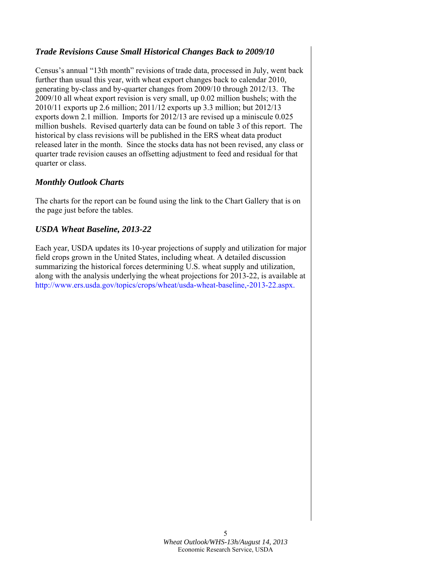# *Trade Revisions Cause Small Historical Changes Back to 2009/10*

Census's annual "13th month" revisions of trade data, processed in July, went back further than usual this year, with wheat export changes back to calendar 2010, generating by-class and by-quarter changes from 2009/10 through 2012/13. The 2009/10 all wheat export revision is very small, up 0.02 million bushels; with the 2010/11 exports up 2.6 million; 2011/12 exports up 3.3 million; but 2012/13 exports down 2.1 million. Imports for 2012/13 are revised up a miniscule 0.025 million bushels. Revised quarterly data can be found on table 3 of this report. The historical by class revisions will be published in the ERS wheat data product released later in the month. Since the stocks data has not been revised, any class or quarter trade revision causes an offsetting adjustment to feed and residual for that quarter or class.

## *Monthly Outlook Charts*

The charts for the report can be found using the link to the Chart Gallery that is on the page just before the tables.

## *USDA Wheat Baseline, 2013-22*

Each year, USDA updates its 10-year projections of supply and utilization for major field crops grown in the United States, including wheat. A detailed discussion summarizing the historical forces determining U.S. wheat supply and utilization, along with the analysis underlying the wheat projections for 2013-22, is available at http://www.ers.usda.gov/topics/crops/wheat/usda-wheat-baseline,-2013-22.aspx.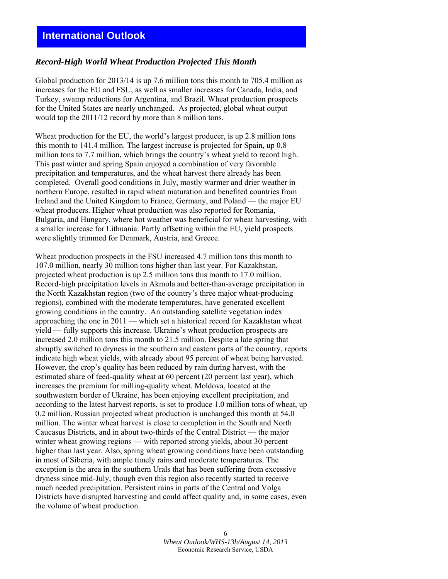# **International Outlook**

### *Record-High World Wheat Production Projected This Month*

Global production for 2013/14 is up 7.6 million tons this month to 705.4 million as increases for the EU and FSU, as well as smaller increases for Canada, India, and Turkey, swamp reductions for Argentina, and Brazil. Wheat production prospects for the United States are nearly unchanged. As projected, global wheat output would top the 2011/12 record by more than 8 million tons.

Wheat production for the EU, the world's largest producer, is up 2.8 million tons this month to 141.4 million. The largest increase is projected for Spain, up 0.8 million tons to 7.7 million, which brings the country's wheat yield to record high. This past winter and spring Spain enjoyed a combination of very favorable precipitation and temperatures, and the wheat harvest there already has been completed. Overall good conditions in July, mostly warmer and drier weather in northern Europe, resulted in rapid wheat maturation and benefited countries from Ireland and the United Kingdom to France, Germany, and Poland — the major EU wheat producers. Higher wheat production was also reported for Romania, Bulgaria, and Hungary, where hot weather was beneficial for wheat harvesting, with a smaller increase for Lithuania. Partly offsetting within the EU, yield prospects were slightly trimmed for Denmark, Austria, and Greece.

Wheat production prospects in the FSU increased 4.7 million tons this month to 107.0 million, nearly 30 million tons higher than last year. For Kazakhstan, projected wheat production is up 2.5 million tons this month to 17.0 million. Record-high precipitation levels in Akmola and better-than-average precipitation in the North Kazakhstan region (two of the country's three major wheat-producing regions), combined with the moderate temperatures, have generated excellent growing conditions in the country. An outstanding satellite vegetation index approaching the one in 2011 — which set a historical record for Kazakhstan wheat yield — fully supports this increase. Ukraine's wheat production prospects are increased 2.0 million tons this month to 21.5 million. Despite a late spring that abruptly switched to dryness in the southern and eastern parts of the country, reports indicate high wheat yields, with already about 95 percent of wheat being harvested. However, the crop's quality has been reduced by rain during harvest, with the estimated share of feed-quality wheat at 60 percent (20 percent last year), which increases the premium for milling-quality wheat. Moldova, located at the southwestern border of Ukraine, has been enjoying excellent precipitation, and according to the latest harvest reports, is set to produce 1.0 million tons of wheat, up 0.2 million. Russian projected wheat production is unchanged this month at 54.0 million. The winter wheat harvest is close to completion in the South and North Caucasus Districts, and in about two-thirds of the Central District — the major winter wheat growing regions — with reported strong yields, about 30 percent higher than last year. Also, spring wheat growing conditions have been outstanding in most of Siberia, with ample timely rains and moderate temperatures. The exception is the area in the southern Urals that has been suffering from excessive dryness since mid-July, though even this region also recently started to receive much needed precipitation. Persistent rains in parts of the Central and Volga Districts have disrupted harvesting and could affect quality and, in some cases, even the volume of wheat production.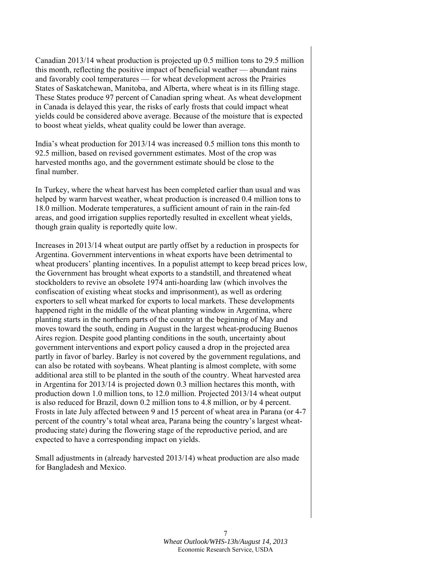Canadian 2013/14 wheat production is projected up 0.5 million tons to 29.5 million this month, reflecting the positive impact of beneficial weather — abundant rains and favorably cool temperatures — for wheat development across the Prairies States of Saskatchewan, Manitoba, and Alberta, where wheat is in its filling stage. These States produce 97 percent of Canadian spring wheat. As wheat development in Canada is delayed this year, the risks of early frosts that could impact wheat yields could be considered above average. Because of the moisture that is expected to boost wheat yields, wheat quality could be lower than average.

India's wheat production for 2013/14 was increased 0.5 million tons this month to 92.5 million, based on revised government estimates. Most of the crop was harvested months ago, and the government estimate should be close to the final number.

In Turkey, where the wheat harvest has been completed earlier than usual and was helped by warm harvest weather, wheat production is increased 0.4 million tons to 18.0 million. Moderate temperatures, a sufficient amount of rain in the rain-fed areas, and good irrigation supplies reportedly resulted in excellent wheat yields, though grain quality is reportedly quite low.

Increases in 2013/14 wheat output are partly offset by a reduction in prospects for Argentina. Government interventions in wheat exports have been detrimental to wheat producers' planting incentives. In a populist attempt to keep bread prices low, the Government has brought wheat exports to a standstill, and threatened wheat stockholders to revive an obsolete 1974 anti-hoarding law (which involves the confiscation of existing wheat stocks and imprisonment), as well as ordering exporters to sell wheat marked for exports to local markets. These developments happened right in the middle of the wheat planting window in Argentina, where planting starts in the northern parts of the country at the beginning of May and moves toward the south, ending in August in the largest wheat-producing Buenos Aires region. Despite good planting conditions in the south, uncertainty about government interventions and export policy caused a drop in the projected area partly in favor of barley. Barley is not covered by the government regulations, and can also be rotated with soybeans. Wheat planting is almost complete, with some additional area still to be planted in the south of the country. Wheat harvested area in Argentina for 2013/14 is projected down 0.3 million hectares this month, with production down 1.0 million tons, to 12.0 million. Projected 2013/14 wheat output is also reduced for Brazil, down 0.2 million tons to 4.8 million, or by 4 percent. Frosts in late July affected between 9 and 15 percent of wheat area in Parana (or 4-7 percent of the country's total wheat area, Parana being the country's largest wheatproducing state) during the flowering stage of the reproductive period, and are expected to have a corresponding impact on yields.

Small adjustments in (already harvested 2013/14) wheat production are also made for Bangladesh and Mexico.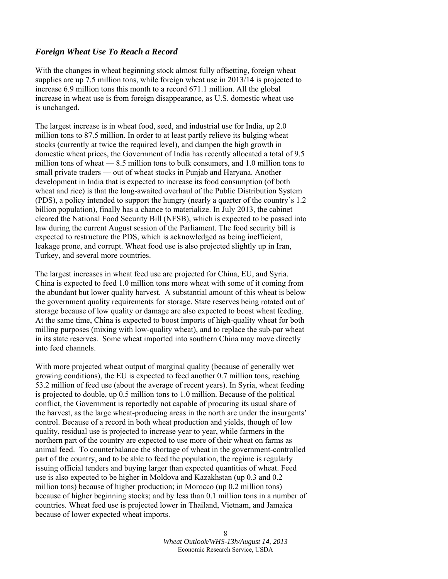### *Foreign Wheat Use To Reach a Record*

With the changes in wheat beginning stock almost fully offsetting, foreign wheat supplies are up 7.5 million tons, while foreign wheat use in 2013/14 is projected to increase 6.9 million tons this month to a record 671.1 million. All the global increase in wheat use is from foreign disappearance, as U.S. domestic wheat use is unchanged.

The largest increase is in wheat food, seed, and industrial use for India, up 2.0 million tons to 87.5 million. In order to at least partly relieve its bulging wheat stocks (currently at twice the required level), and dampen the high growth in domestic wheat prices, the Government of India has recently allocated a total of 9.5 million tons of wheat — 8.5 million tons to bulk consumers, and 1.0 million tons to small private traders — out of wheat stocks in Punjab and Haryana. Another development in India that is expected to increase its food consumption (of both wheat and rice) is that the long-awaited overhaul of the Public Distribution System (PDS), a policy intended to support the hungry (nearly a quarter of the country's 1.2 billion population), finally has a chance to materialize. In July 2013, the cabinet cleared the National Food Security Bill (NFSB), which is expected to be passed into law during the current August session of the Parliament. The food security bill is expected to restructure the PDS, which is acknowledged as being inefficient, leakage prone, and corrupt. Wheat food use is also projected slightly up in Iran, Turkey, and several more countries.

The largest increases in wheat feed use are projected for China, EU, and Syria. China is expected to feed 1.0 million tons more wheat with some of it coming from the abundant but lower quality harvest. A substantial amount of this wheat is below the government quality requirements for storage. State reserves being rotated out of storage because of low quality or damage are also expected to boost wheat feeding. At the same time, China is expected to boost imports of high-quality wheat for both milling purposes (mixing with low-quality wheat), and to replace the sub-par wheat in its state reserves. Some wheat imported into southern China may move directly into feed channels.

With more projected wheat output of marginal quality (because of generally wet growing conditions), the EU is expected to feed another 0.7 million tons, reaching 53.2 million of feed use (about the average of recent years). In Syria, wheat feeding is projected to double, up 0.5 million tons to 1.0 million. Because of the political conflict, the Government is reportedly not capable of procuring its usual share of the harvest, as the large wheat-producing areas in the north are under the insurgents' control. Because of a record in both wheat production and yields, though of low quality, residual use is projected to increase year to year, while farmers in the northern part of the country are expected to use more of their wheat on farms as animal feed. To counterbalance the shortage of wheat in the government-controlled part of the country, and to be able to feed the population, the regime is regularly issuing official tenders and buying larger than expected quantities of wheat. Feed use is also expected to be higher in Moldova and Kazakhstan (up 0.3 and 0.2 million tons) because of higher production; in Morocco (up 0.2 million tons) because of higher beginning stocks; and by less than 0.1 million tons in a number of countries. Wheat feed use is projected lower in Thailand, Vietnam, and Jamaica because of lower expected wheat imports.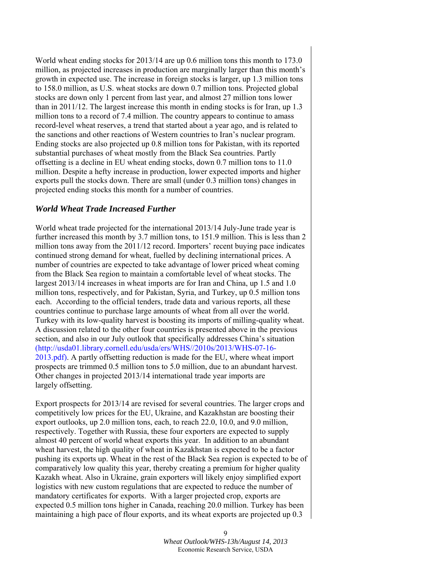World wheat ending stocks for 2013/14 are up 0.6 million tons this month to 173.0 million, as projected increases in production are marginally larger than this month's growth in expected use. The increase in foreign stocks is larger, up 1.3 million tons to 158.0 million, as U.S. wheat stocks are down 0.7 million tons. Projected global stocks are down only 1 percent from last year, and almost 27 million tons lower than in 2011/12. The largest increase this month in ending stocks is for Iran, up 1.3 million tons to a record of 7.4 million. The country appears to continue to amass record-level wheat reserves, a trend that started about a year ago, and is related to the sanctions and other reactions of Western countries to Iran's nuclear program. Ending stocks are also projected up 0.8 million tons for Pakistan, with its reported substantial purchases of wheat mostly from the Black Sea countries. Partly offsetting is a decline in EU wheat ending stocks, down 0.7 million tons to 11.0 million. Despite a hefty increase in production, lower expected imports and higher exports pull the stocks down. There are small (under 0.3 million tons) changes in projected ending stocks this month for a number of countries.

### *World Wheat Trade Increased Further*

World wheat trade projected for the international 2013/14 July-June trade year is further increased this month by 3.7 million tons, to 151.9 million. This is less than 2 million tons away from the 2011/12 record. Importers' recent buying pace indicates continued strong demand for wheat, fuelled by declining international prices. A number of countries are expected to take advantage of lower priced wheat coming from the Black Sea region to maintain a comfortable level of wheat stocks. The largest 2013/14 increases in wheat imports are for Iran and China, up 1.5 and 1.0 million tons, respectively, and for Pakistan, Syria, and Turkey, up 0.5 million tons each. According to the official tenders, trade data and various reports, all these countries continue to purchase large amounts of wheat from all over the world. Turkey with its low-quality harvest is boosting its imports of milling-quality wheat. A discussion related to the other four countries is presented above in the previous section, and also in our July outlook that specifically addresses China's situation (http://usda01.library.cornell.edu/usda/ers/WHS//2010s/2013/WHS-07-16- 2013.pdf). A partly offsetting reduction is made for the EU, where wheat import prospects are trimmed 0.5 million tons to 5.0 million, due to an abundant harvest. Other changes in projected 2013/14 international trade year imports are largely offsetting.

Export prospects for 2013/14 are revised for several countries. The larger crops and competitively low prices for the EU, Ukraine, and Kazakhstan are boosting their export outlooks, up 2.0 million tons, each, to reach 22.0, 10.0, and 9.0 million, respectively. Together with Russia, these four exporters are expected to supply almost 40 percent of world wheat exports this year. In addition to an abundant wheat harvest, the high quality of wheat in Kazakhstan is expected to be a factor pushing its exports up. Wheat in the rest of the Black Sea region is expected to be of comparatively low quality this year, thereby creating a premium for higher quality Kazakh wheat. Also in Ukraine, grain exporters will likely enjoy simplified export logistics with new custom regulations that are expected to reduce the number of mandatory certificates for exports. With a larger projected crop, exports are expected 0.5 million tons higher in Canada, reaching 20.0 million. Turkey has been maintaining a high pace of flour exports, and its wheat exports are projected up 0.3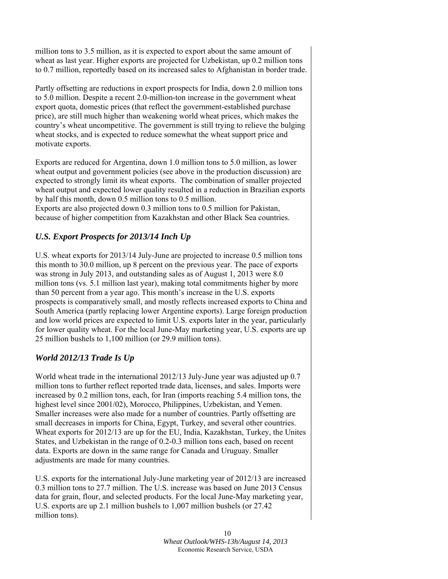million tons to 3.5 million, as it is expected to export about the same amount of wheat as last year. Higher exports are projected for Uzbekistan, up 0.2 million tons to 0.7 million, reportedly based on its increased sales to Afghanistan in border trade.

Partly offsetting are reductions in export prospects for India, down 2.0 million tons to 5.0 million. Despite a recent 2.0-million-ton increase in the government wheat export quota, domestic prices (that reflect the government-established purchase price), are still much higher than weakening world wheat prices, which makes the country's wheat uncompetitive. The government is still trying to relieve the bulging wheat stocks, and is expected to reduce somewhat the wheat support price and motivate exports.

Exports are reduced for Argentina, down 1.0 million tons to 5.0 million, as lower wheat output and government policies (see above in the production discussion) are expected to strongly limit its wheat exports. The combination of smaller projected wheat output and expected lower quality resulted in a reduction in Brazilian exports by half this month, down 0.5 million tons to 0.5 million.

Exports are also projected down 0.3 million tons to 0.5 million for Pakistan, because of higher competition from Kazakhstan and other Black Sea countries.

# *U.S. Export Prospects for 2013/14 Inch Up*

U.S. wheat exports for 2013/14 July-June are projected to increase 0.5 million tons this month to 30.0 million, up 8 percent on the previous year. The pace of exports was strong in July 2013, and outstanding sales as of August 1, 2013 were 8.0 million tons (vs. 5.1 million last year), making total commitments higher by more than 50 percent from a year ago. This month's increase in the U.S. exports prospects is comparatively small, and mostly reflects increased exports to China and South America (partly replacing lower Argentine exports). Large foreign production and low world prices are expected to limit U.S. exports later in the year, particularly for lower quality wheat. For the local June-May marketing year, U.S. exports are up 25 million bushels to 1,100 million (or 29.9 million tons).

# *World 2012/13 Trade Is Up*

World wheat trade in the international 2012/13 July-June year was adjusted up 0.7 million tons to further reflect reported trade data, licenses, and sales. Imports were increased by 0.2 million tons, each, for Iran (imports reaching 5.4 million tons, the highest level since 2001/02), Morocco, Philippines, Uzbekistan, and Yemen. Smaller increases were also made for a number of countries. Partly offsetting are small decreases in imports for China, Egypt, Turkey, and several other countries. Wheat exports for 2012/13 are up for the EU, India, Kazakhstan, Turkey, the Unites States, and Uzbekistan in the range of 0.2-0.3 million tons each, based on recent data. Exports are down in the same range for Canada and Uruguay. Smaller adjustments are made for many countries.

U.S. exports for the international July-June marketing year of 2012/13 are increased 0.3 million tons to 27.7 million. The U.S. increase was based on June 2013 Census data for grain, flour, and selected products. For the local June-May marketing year, U.S. exports are up 2.1 million bushels to 1,007 million bushels (or 27.42 million tons).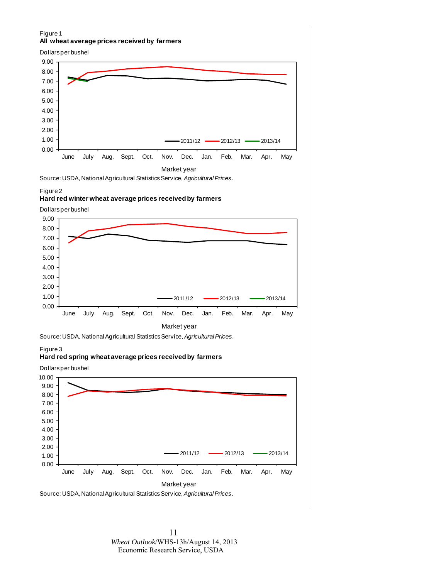#### Figure 1 **All wheat average prices received by farmers**



Source: USDA, National Agricultural Statistics Service, *Agricultural Prices*.

#### Figure 2

#### **Hard red winter wheat average prices received by farmers**

Dollars per bushel



Source: USDA, National Agricultural Statistics Service, *Agricultural Prices*.

#### Figure 3

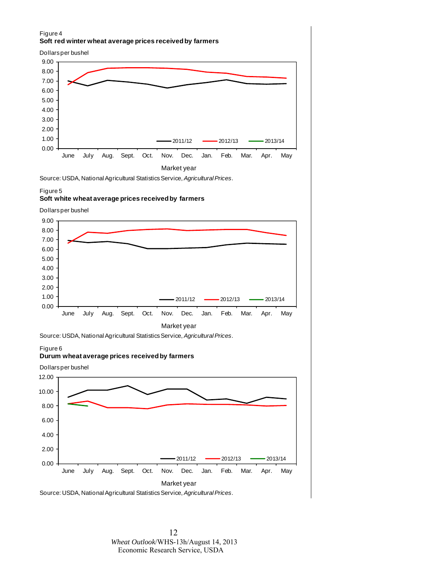#### Figure 4 **Soft red winter wheat average prices received by farmers**





Source: USDA, National Agricultural Statistics Service, *Agricultural Prices*.

#### Figure 5

#### **Soft white wheat average prices received by farmers**

Dollars per bushel



Source: USDA, National Agricultural Statistics Service, *Agricultural Prices*.

#### Figure 6

#### **Durum wheat average prices received by farmers**



Source: USDA, National Agricultural Statistics Service, *Agricultural Prices*.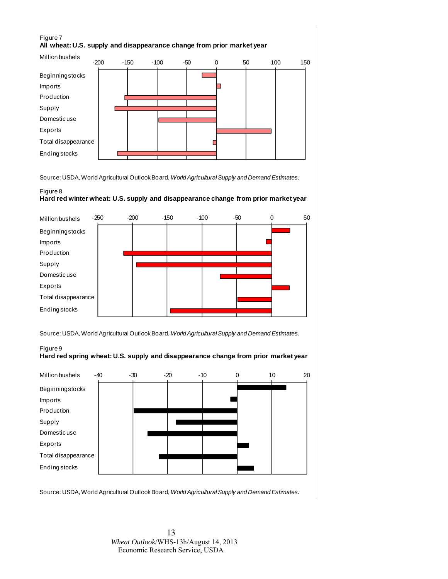### Figure 7 **All wheat: U.S. supply and disappearance change from prior market year**



Source: USDA, World Agricultural Outlook Board, *World Agricultural Supply and Demand Estimates.*

### Figure 8 **Hard red winter wheat: U.S. supply and disappearance change from prior market year**



Source: USDA, World Agricultural Outlook Board, *World Agricultural Supply and Demand Estimates.*

#### Figure 9 **Hard red spring wheat: U.S. supply and disappearance change from prior market year**



Source: USDA, World Agricultural Outlook Board, *World Agricultural Supply and Demand Estimates.*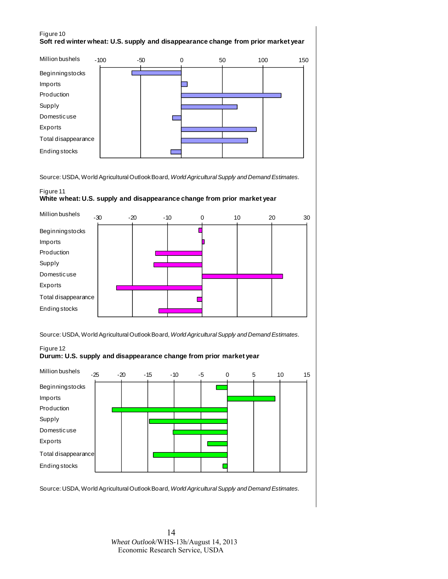#### Figure 10 **Soft red winter wheat: U.S. supply and disappearance change from prior market year**



Source: USDA, World Agricultural Outlook Board, *World Agricultural Supply and Demand Estimates.*

### Figure 11

#### **White wheat: U.S. supply and disappearance change from prior market year**



Source: USDA, World Agricultural Outlook Board, *World Agricultural Supply and Demand Estimates.*

#### Figure 12





Source: USDA, World Agricultural Outlook Board, *World Agricultural Supply and Demand Estimates.*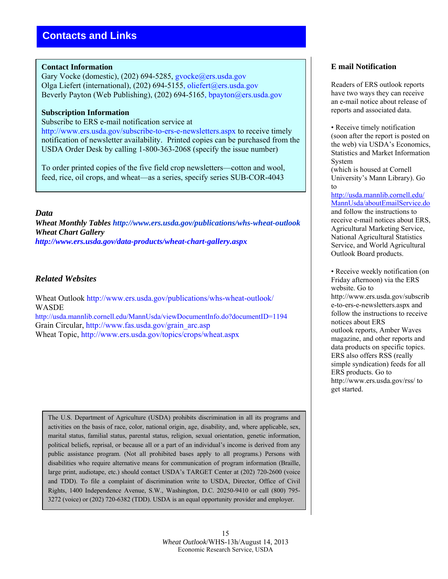### **Contact Information**

Gary Vocke (domestic), (202) 694-5285, gvocke@ers.usda.gov Olga Liefert (international), (202) 694-5155, oliefert@ers.usda.gov Beverly Payton (Web Publishing), (202) 694-5165, bpayton@ers.usda.gov

### **Subscription Information**

Subscribe to ERS e-mail notification service at

http://www.ers.usda.gov/subscribe-to-ers-e-newsletters.aspx to receive timely notification of newsletter availability. Printed copies can be purchased from the USDA Order Desk by calling 1-800-363-2068 (specify the issue number)

To order printed copies of the five field crop newsletters—cotton and wool, feed, rice, oil crops, and wheat—as a series, specify series SUB-COR-4043

### *Data*

*Wheat Monthly Tables http://www.ers.usda.gov/publications/whs-wheat-outlook Wheat Chart Gallery http://www.ers.usda.gov/data-products/wheat-chart-gallery.aspx* 

### *Related Websites*

Wheat Outlook http://www.ers.usda.gov/publications/whs-wheat-outlook/ WASDE http://usda.mannlib.cornell.edu/MannUsda/viewDocumentInfo.do?documentID=1194

Grain Circular, http://www.fas.usda.gov/grain\_arc.asp

Wheat Topic, http://www.ers.usda.gov/topics/crops/wheat.aspx

The U.S. Department of Agriculture (USDA) prohibits discrimination in all its programs and activities on the basis of race, color, national origin, age, disability, and, where applicable, sex, marital status, familial status, parental status, religion, sexual orientation, genetic information, political beliefs, reprisal, or because all or a part of an individual's income is derived from any public assistance program. (Not all prohibited bases apply to all programs.) Persons with disabilities who require alternative means for communication of program information (Braille, large print, audiotape, etc.) should contact USDA's TARGET Center at (202) 720-2600 (voice and TDD). To file a complaint of discrimination write to USDA, Director, Office of Civil Rights, 1400 Independence Avenue, S.W., Washington, D.C. 20250-9410 or call (800) 795- 3272 (voice) or (202) 720-6382 (TDD). USDA is an equal opportunity provider and employer.

### **E mail Notification**

Readers of ERS outlook reports have two ways they can receive an e-mail notice about release of reports and associated data.

• Receive timely notification (soon after the report is posted on the web) via USDA's Economics, Statistics and Market Information System

(which is housed at Cornell University's Mann Library). Go to

http://usda.mannlib.cornell.edu/ MannUsda/aboutEmailService.do and follow the instructions to receive e-mail notices about ERS, Agricultural Marketing Service, National Agricultural Statistics Service, and World Agricultural Outlook Board products.

• Receive weekly notification (on Friday afternoon) via the ERS website. Go to http://www.ers.usda.gov/subscrib e-to-ers-e-newsletters.aspx and follow the instructions to receive notices about ERS outlook reports, Amber Waves magazine, and other reports and data products on specific topics. ERS also offers RSS (really simple syndication) feeds for all ERS products. Go to http://www.ers.usda.gov/rss/ to get started.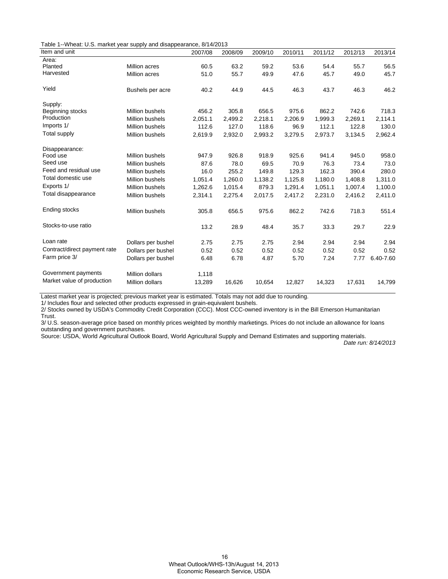Table 1--Wheat: U.S. market year supply and disappearance, 8/14/2013

| Item and unit                |                        | 2007/08 | 2008/09 | 2009/10 | 2010/11 | 2011/12 | 2012/13 | 2013/14   |
|------------------------------|------------------------|---------|---------|---------|---------|---------|---------|-----------|
| Area:                        |                        |         |         |         |         |         |         |           |
| Planted                      | Million acres          | 60.5    | 63.2    | 59.2    | 53.6    | 54.4    | 55.7    | 56.5      |
| Harvested                    | <b>Million acres</b>   | 51.0    | 55.7    | 49.9    | 47.6    | 45.7    | 49.0    | 45.7      |
| Yield                        | Bushels per acre       | 40.2    | 44.9    | 44.5    | 46.3    | 43.7    | 46.3    | 46.2      |
| Supply:                      |                        |         |         |         |         |         |         |           |
| Beginning stocks             | <b>Million bushels</b> | 456.2   | 305.8   | 656.5   | 975.6   | 862.2   | 742.6   | 718.3     |
| Production                   | <b>Million bushels</b> | 2,051.1 | 2,499.2 | 2,218.1 | 2,206.9 | 1,999.3 | 2,269.1 | 2,114.1   |
| Imports 1/                   | <b>Million bushels</b> | 112.6   | 127.0   | 118.6   | 96.9    | 112.1   | 122.8   | 130.0     |
| Total supply                 | <b>Million bushels</b> | 2,619.9 | 2,932.0 | 2,993.2 | 3,279.5 | 2,973.7 | 3,134.5 | 2,962.4   |
| Disappearance:               |                        |         |         |         |         |         |         |           |
| Food use                     | <b>Million bushels</b> | 947.9   | 926.8   | 918.9   | 925.6   | 941.4   | 945.0   | 958.0     |
| Seed use                     | <b>Million bushels</b> | 87.6    | 78.0    | 69.5    | 70.9    | 76.3    | 73.4    | 73.0      |
| Feed and residual use        | <b>Million bushels</b> | 16.0    | 255.2   | 149.8   | 129.3   | 162.3   | 390.4   | 280.0     |
| Total domestic use           | <b>Million bushels</b> | 1,051.4 | 1,260.0 | 1,138.2 | 1,125.8 | 1,180.0 | 1,408.8 | 1,311.0   |
| Exports 1/                   | <b>Million bushels</b> | 1,262.6 | 1.015.4 | 879.3   | 1,291.4 | 1,051.1 | 1.007.4 | 1,100.0   |
| Total disappearance          | <b>Million bushels</b> | 2,314.1 | 2,275.4 | 2,017.5 | 2,417.2 | 2,231.0 | 2,416.2 | 2,411.0   |
| Ending stocks                | <b>Million bushels</b> | 305.8   | 656.5   | 975.6   | 862.2   | 742.6   | 718.3   | 551.4     |
| Stocks-to-use ratio          |                        | 13.2    | 28.9    | 48.4    | 35.7    | 33.3    | 29.7    | 22.9      |
| Loan rate                    | Dollars per bushel     | 2.75    | 2.75    | 2.75    | 2.94    | 2.94    | 2.94    | 2.94      |
| Contract/direct payment rate | Dollars per bushel     | 0.52    | 0.52    | 0.52    | 0.52    | 0.52    | 0.52    | 0.52      |
| Farm price 3/                | Dollars per bushel     | 6.48    | 6.78    | 4.87    | 5.70    | 7.24    | 7.77    | 6.40-7.60 |
| Government payments          | <b>Million dollars</b> | 1,118   |         |         |         |         |         |           |
| Market value of production   | <b>Million dollars</b> | 13,289  | 16,626  | 10,654  | 12,827  | 14,323  | 17,631  | 14,799    |

Latest market year is projected; previous market year is estimated. Totals may not add due to rounding.

1/ Includes flour and selected other products expressed in grain-equivalent bushels.

2/ Stocks owned by USDA's Commodity Credit Corporation (CCC). Most CCC-owned inventory is in the Bill Emerson Humanitarian Trust.

3/ U.S. season-average price based on monthly prices weighted by monthly marketings. Prices do not include an allowance for loans outstanding and government purchases.

Source: USDA, World Agricultural Outlook Board, World Agricultural Supply and Demand Estimates and supporting materials.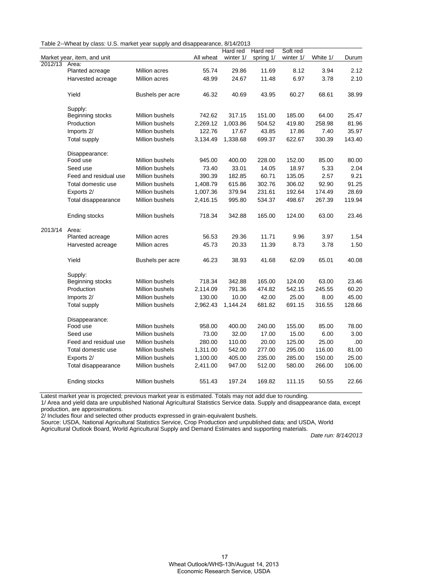| Table 2--Wheat by class: U.S. market year supply and disappearance, 8/14/2013 |  |  |  |  |
|-------------------------------------------------------------------------------|--|--|--|--|
|-------------------------------------------------------------------------------|--|--|--|--|

|         |                             |                        |           | Hard red  | Hard red  | Soft red  |          |        |
|---------|-----------------------------|------------------------|-----------|-----------|-----------|-----------|----------|--------|
|         | Market year, item, and unit |                        | All wheat | winter 1/ | spring 1/ | winter 1/ | White 1/ | Durum  |
| 2012/13 | Area:                       |                        |           |           |           |           |          |        |
|         | Planted acreage             | Million acres          | 55.74     | 29.86     | 11.69     | 8.12      | 3.94     | 2.12   |
|         | Harvested acreage           | Million acres          | 48.99     | 24.67     | 11.48     | 6.97      | 3.78     | 2.10   |
|         | Yield                       | Bushels per acre       | 46.32     | 40.69     | 43.95     | 60.27     | 68.61    | 38.99  |
|         | Supply:                     |                        |           |           |           |           |          |        |
|         | Beginning stocks            | Million bushels        | 742.62    | 317.15    | 151.00    | 185.00    | 64.00    | 25.47  |
|         | Production                  | Million bushels        | 2,269.12  | 1,003.86  | 504.52    | 419.80    | 258.98   | 81.96  |
|         | Imports 2/                  | <b>Million bushels</b> | 122.76    | 17.67     | 43.85     | 17.86     | 7.40     | 35.97  |
|         | <b>Total supply</b>         | Million bushels        | 3,134.49  | 1,338.68  | 699.37    | 622.67    | 330.39   | 143.40 |
|         | Disappearance:              |                        |           |           |           |           |          |        |
|         | Food use                    | Million bushels        | 945.00    | 400.00    | 228.00    | 152.00    | 85.00    | 80.00  |
|         | Seed use                    | Million bushels        | 73.40     | 33.01     | 14.05     | 18.97     | 5.33     | 2.04   |
|         | Feed and residual use       | Million bushels        | 390.39    | 182.85    | 60.71     | 135.05    | 2.57     | 9.21   |
|         | Total domestic use          | Million bushels        | 1,408.79  | 615.86    | 302.76    | 306.02    | 92.90    | 91.25  |
|         | Exports 2/                  | Million bushels        | 1,007.36  | 379.94    | 231.61    | 192.64    | 174.49   | 28.69  |
|         | Total disappearance         | Million bushels        | 2,416.15  | 995.80    | 534.37    | 498.67    | 267.39   | 119.94 |
|         | Ending stocks               | Million bushels        | 718.34    | 342.88    | 165.00    | 124.00    | 63.00    | 23.46  |
| 2013/14 | Area:                       |                        |           |           |           |           |          |        |
|         | Planted acreage             | Million acres          | 56.53     | 29.36     | 11.71     | 9.96      | 3.97     | 1.54   |
|         | Harvested acreage           | Million acres          | 45.73     | 20.33     | 11.39     | 8.73      | 3.78     | 1.50   |
|         | Yield                       | Bushels per acre       | 46.23     | 38.93     | 41.68     | 62.09     | 65.01    | 40.08  |
|         | Supply:                     |                        |           |           |           |           |          |        |
|         | Beginning stocks            | Million bushels        | 718.34    | 342.88    | 165.00    | 124.00    | 63.00    | 23.46  |
|         | Production                  | Million bushels        | 2,114.09  | 791.36    | 474.82    | 542.15    | 245.55   | 60.20  |
|         | Imports 2/                  | Million bushels        | 130.00    | 10.00     | 42.00     | 25.00     | 8.00     | 45.00  |
|         | <b>Total supply</b>         | Million bushels        | 2,962.43  | 1,144.24  | 681.82    | 691.15    | 316.55   | 128.66 |
|         | Disappearance:              |                        |           |           |           |           |          |        |
|         | Food use                    | Million bushels        | 958.00    | 400.00    | 240.00    | 155.00    | 85.00    | 78.00  |
|         | Seed use                    | Million bushels        | 73.00     | 32.00     | 17.00     | 15.00     | 6.00     | 3.00   |
|         | Feed and residual use       | Million bushels        | 280.00    | 110.00    | 20.00     | 125.00    | 25.00    | .00    |
|         | Total domestic use          | Million bushels        | 1,311.00  | 542.00    | 277.00    | 295.00    | 116.00   | 81.00  |
|         | Exports 2/                  | Million bushels        | 1,100.00  | 405.00    | 235.00    | 285.00    | 150.00   | 25.00  |
|         | Total disappearance         | Million bushels        | 2,411.00  | 947.00    | 512.00    | 580.00    | 266.00   | 106.00 |
|         | Ending stocks               | Million bushels        | 551.43    | 197.24    | 169.82    | 111.15    | 50.55    | 22.66  |

Latest market year is projected; previous market year is estimated. Totals may not add due to rounding.

1/ Area and yield data are unpublished National Agricultural Statistics Service data. Supply and disappearance data, except production, are approximations.

2/ Includes flour and selected other products expressed in grain-equivalent bushels.

Source: USDA, National Agricultural Statistics Service, Crop Production and unpublished data; and USDA, World

Agricultural Outlook Board, World Agricultural Supply and Demand Estimates and supporting materials.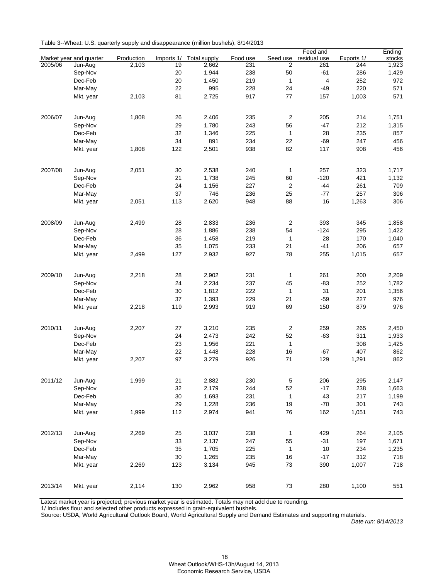| Table 3--Wheat: U.S. quarterly supply and disappearance (million bushels), 8/14/2013 |  |  |
|--------------------------------------------------------------------------------------|--|--|
|                                                                                      |  |  |

|         |                         |            |            |                     |          |                | Feed and       |            | Ending |
|---------|-------------------------|------------|------------|---------------------|----------|----------------|----------------|------------|--------|
|         | Market year and quarter | Production | Imports 1/ | <b>Total supply</b> | Food use | Seed use       | residual use   | Exports 1/ | stocks |
| 2005/06 | Jun-Aug                 | 2,103      | 19         | 2,662               | 231      | 2              | 261            | 244        | 1,923  |
|         | Sep-Nov                 |            | 20         | 1,944               | 238      | 50             | $-61$          | 286        | 1,429  |
|         | Dec-Feb                 |            | 20         | 1,450               | 219      | $\mathbf{1}$   | $\overline{4}$ | 252        | 972    |
|         | Mar-May                 |            | 22         | 995                 | 228      | 24             | -49            | 220        | 571    |
|         | Mkt. year               | 2,103      | 81         | 2,725               | 917      | 77             | 157            | 1,003      | 571    |
|         |                         |            |            |                     |          |                |                |            |        |
| 2006/07 | Jun-Aug                 | 1,808      | 26         | 2,406               | 235      | $\overline{c}$ | 205            | 214        | 1,751  |
|         | Sep-Nov                 |            | 29         | 1,780               | 243      | 56             | $-47$          | 212        | 1,315  |
|         | Dec-Feb                 |            | 32         | 1,346               | 225      | $\mathbf{1}$   | 28             | 235        | 857    |
|         | Mar-May                 |            | 34         | 891                 | 234      | 22             | -69            | 247        | 456    |
|         | Mkt. year               | 1,808      | 122        | 2,501               | 938      | 82             | 117            | 908        | 456    |
|         |                         |            |            |                     |          |                |                |            |        |
| 2007/08 | Jun-Aug                 | 2,051      | 30         | 2,538               | 240      | 1              | 257            | 323        | 1,717  |
|         | Sep-Nov                 |            | 21         | 1,738               | 245      | 60             | $-120$         | 421        | 1,132  |
|         | Dec-Feb                 |            | 24         | 1,156               | 227      | $\overline{c}$ | $-44$          | 261        | 709    |
|         | Mar-May                 |            | 37         | 746                 | 236      | 25             | $-77$          | 257        | 306    |
|         | Mkt. year               | 2,051      | 113        | 2,620               | 948      | 88             | 16             | 1,263      | 306    |
|         |                         |            |            |                     |          |                |                |            |        |
| 2008/09 | Jun-Aug                 | 2,499      | 28         | 2,833               | 236      | $\overline{2}$ | 393            | 345        | 1,858  |
|         | Sep-Nov                 |            | 28         | 1,886               | 238      | 54             | $-124$         | 295        | 1,422  |
|         | Dec-Feb                 |            | 36         | 1,458               | 219      | 1              | 28             | 170        | 1,040  |
|         | Mar-May                 |            | 35         | 1,075               | 233      | 21             | $-41$          | 206        | 657    |
|         | Mkt. year               | 2,499      | 127        | 2,932               | 927      | 78             | 255            | 1,015      | 657    |
|         |                         |            |            |                     |          |                |                |            |        |
| 2009/10 | Jun-Aug                 | 2,218      | 28         | 2,902               | 231      | 1              | 261            | 200        | 2,209  |
|         | Sep-Nov                 |            | 24         | 2,234               | 237      | 45             | $-83$          | 252        | 1,782  |
|         | Dec-Feb                 |            | 30         | 1,812               | 222      | $\mathbf{1}$   | 31             | 201        | 1,356  |
|         | Mar-May                 |            | 37         | 1,393               | 229      | 21             | $-59$          | 227        | 976    |
|         | Mkt. year               | 2,218      | 119        | 2,993               | 919      | 69             | 150            | 879        | 976    |
|         |                         |            |            |                     |          |                |                |            |        |
| 2010/11 | Jun-Aug                 | 2,207      | 27         | 3,210               | 235      | $\overline{c}$ | 259            | 265        | 2,450  |
|         | Sep-Nov                 |            | 24         | 2,473               | 242      | 52             | $-63$          | 311        | 1,933  |
|         | Dec-Feb                 |            | 23         | 1,956               | 221      | $\mathbf{1}$   |                | 308        | 1,425  |
|         | Mar-May                 |            | 22         | 1,448               | 228      | 16             | $-67$          | 407        | 862    |
|         | Mkt. year               | 2,207      | 97         | 3,279               | 926      | 71             | 129            | 1,291      | 862    |
|         |                         |            |            |                     |          |                |                |            |        |
| 2011/12 | Jun-Aug                 | 1,999      | 21         | 2,882               | 230      | $\,$ 5 $\,$    | 206            | 295        | 2,147  |
|         | Sep-Nov                 |            | 32         | 2,179               | 244      | 52             | $-17$          | 238        | 1,663  |
|         | Dec-Feb                 |            | 30         | 1,693               | 231      | $\mathbf{1}$   | 43             | 217        | 1,199  |
|         | Mar-May                 |            | 29         | 1,228               | 236      | 19             | $-70$          | 301        | 743    |
|         | Mkt. year               | 1,999      | 112        | 2,974               | 941      | 76             | 162            | 1,051      | 743    |
|         |                         |            |            |                     |          |                |                |            |        |
| 2012/13 | Jun-Aug                 | 2,269      | 25         | 3,037               | 238      | $\mathbf{1}$   | 429            | 264        | 2,105  |
|         | Sep-Nov                 |            | 33         | 2,137               | 247      | 55             | $-31$          | 197        | 1,671  |
|         | Dec-Feb                 |            | 35         | 1,705               | 225      | $\mathbf{1}$   | 10             | 234        | 1,235  |
|         | Mar-May                 |            | 30         | 1,265               | 235      | 16             | $-17$          | 312        | 718    |
|         | Mkt. year               | 2,269      | 123        | 3,134               | 945      | 73             | 390            | 1,007      | 718    |
|         |                         |            |            |                     |          |                |                |            |        |
| 2013/14 | Mkt. year               | 2,114      | 130        | 2,962               | 958      | 73             | 280            | 1,100      | 551    |

Latest market year is projected; previous market year is estimated. Totals may not add due to rounding.

1/ Includes flour and selected other products expressed in grain-equivalent bushels.

Source: USDA, World Agricultural Outlook Board, World Agricultural Supply and Demand Estimates and supporting materials.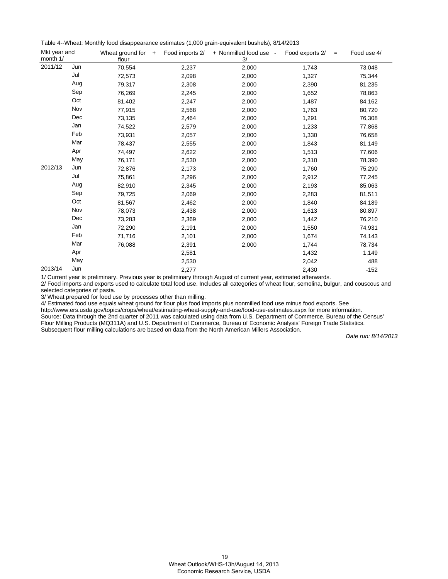Table 4--Wheat: Monthly food disappearance estimates (1,000 grain-equivalent bushels), 8/14/2013

| Mkt year and<br>month 1/ |     | Wheat ground for<br>$+$<br>flour | Food imports 2/ | + Nonmilled food use -<br>3/ | Food exports 2/<br>$=$ | Food use 4/ |
|--------------------------|-----|----------------------------------|-----------------|------------------------------|------------------------|-------------|
| 2011/12                  | Jun | 70,554                           | 2,237           | 2,000                        | 1,743                  | 73,048      |
|                          | Jul | 72,573                           | 2,098           | 2,000                        | 1,327                  | 75,344      |
|                          | Aug | 79,317                           | 2,308           | 2,000                        | 2,390                  | 81,235      |
|                          | Sep | 76,269                           | 2,245           | 2,000                        | 1,652                  | 78,863      |
|                          | Oct | 81,402                           | 2,247           | 2,000                        | 1,487                  | 84,162      |
|                          | Nov | 77,915                           | 2,568           | 2,000                        | 1,763                  | 80,720      |
|                          | Dec | 73,135                           | 2,464           | 2,000                        | 1,291                  | 76,308      |
|                          | Jan | 74,522                           | 2,579           | 2,000                        | 1,233                  | 77,868      |
|                          | Feb | 73,931                           | 2,057           | 2,000                        | 1,330                  | 76,658      |
|                          | Mar | 78,437                           | 2,555           | 2,000                        | 1,843                  | 81,149      |
|                          | Apr | 74,497                           | 2,622           | 2,000                        | 1,513                  | 77,606      |
|                          | May | 76,171                           | 2,530           | 2,000                        | 2,310                  | 78,390      |
| 2012/13                  | Jun | 72,876                           | 2,173           | 2,000                        | 1,760                  | 75,290      |
|                          | Jul | 75,861                           | 2,296           | 2,000                        | 2,912                  | 77,245      |
|                          | Aug | 82,910                           | 2,345           | 2,000                        | 2,193                  | 85,063      |
|                          | Sep | 79,725                           | 2,069           | 2,000                        | 2,283                  | 81,511      |
|                          | Oct | 81,567                           | 2,462           | 2,000                        | 1,840                  | 84,189      |
|                          | Nov | 78,073                           | 2,438           | 2,000                        | 1,613                  | 80,897      |
|                          | Dec | 73,283                           | 2,369           | 2,000                        | 1,442                  | 76,210      |
|                          | Jan | 72,290                           | 2,191           | 2,000                        | 1,550                  | 74,931      |
|                          | Feb | 71,716                           | 2,101           | 2,000                        | 1,674                  | 74,143      |
|                          | Mar | 76,088                           | 2,391           | 2,000                        | 1,744                  | 78,734      |
|                          | Apr |                                  | 2,581           |                              | 1,432                  | 1,149       |
|                          | May |                                  | 2,530           |                              | 2,042                  | 488         |
| 2013/14                  | Jun |                                  | 2,277           |                              | 2,430                  | $-152$      |

1/ Current year is preliminary. Previous year is preliminary through August of current year, estimated afterwards.

2/ Food imports and exports used to calculate total food use. Includes all categories of wheat flour, semolina, bulgur, and couscous and selected categories of pasta.

3/ Wheat prepared for food use by processes other than milling.

4/ Estimated food use equals wheat ground for flour plus food imports plus nonmilled food use minus food exports. See

http://www.ers.usda.gov/topics/crops/wheat/estimating-wheat-supply-and-use/food-use-estimates.aspx for more information.

Source: Data through the 2nd quarter of 2011 was calculated using data from U.S. Department of Commerce, Bureau of the Census' Flour Milling Products (MQ311A) and U.S. Department of Commerce, Bureau of Economic Analysis' Foreign Trade Statistics. Subsequent flour milling calculations are based on data from the North American Millers Association.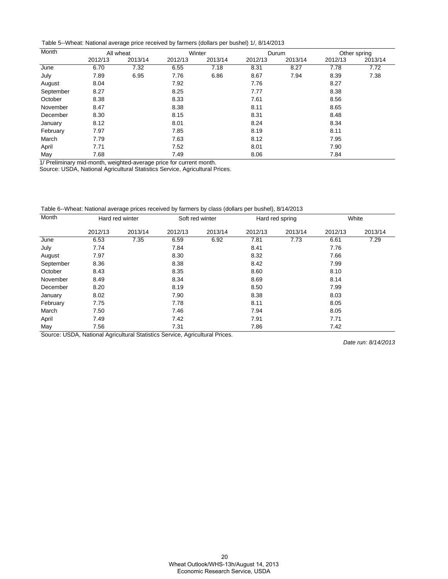Table 5--Wheat: National average price received by farmers (dollars per bushel) 1/, 8/14/2013

| Month     | All wheat |         |         | Winter  |         | Durum   | Other spring |         |
|-----------|-----------|---------|---------|---------|---------|---------|--------------|---------|
|           | 2012/13   | 2013/14 | 2012/13 | 2013/14 | 2012/13 | 2013/14 | 2012/13      | 2013/14 |
| June      | 6.70      | 7.32    | 6.55    | 7.18    | 8.31    | 8.27    | 7.78         | 7.72    |
| July      | 7.89      | 6.95    | 7.76    | 6.86    | 8.67    | 7.94    | 8.39         | 7.38    |
| August    | 8.04      |         | 7.92    |         | 7.76    |         | 8.27         |         |
| September | 8.27      |         | 8.25    |         | 7.77    |         | 8.38         |         |
| October   | 8.38      |         | 8.33    |         | 7.61    |         | 8.56         |         |
| November  | 8.47      |         | 8.38    |         | 8.11    |         | 8.65         |         |
| December  | 8.30      |         | 8.15    |         | 8.31    |         | 8.48         |         |
| January   | 8.12      |         | 8.01    |         | 8.24    |         | 8.34         |         |
| February  | 7.97      |         | 7.85    |         | 8.19    |         | 8.11         |         |
| March     | 7.79      |         | 7.63    |         | 8.12    |         | 7.95         |         |
| April     | 7.71      |         | 7.52    |         | 8.01    |         | 7.90         |         |
| May       | 7.68      |         | 7.49    |         | 8.06    |         | 7.84         |         |

1/ Preliminary mid-month, weighted-average price for current month.

Source: USDA, National Agricultural Statistics Service, Agricultural Prices.

Table 6--Wheat: National average prices received by farmers by class (dollars per bushel), 8/14/2013

| Month     | Hard red winter |         |         | Soft red winter |         | Hard red spring | White   |         |
|-----------|-----------------|---------|---------|-----------------|---------|-----------------|---------|---------|
|           | 2012/13         | 2013/14 | 2012/13 | 2013/14         | 2012/13 | 2013/14         | 2012/13 | 2013/14 |
| June      | 6.53            | 7.35    | 6.59    | 6.92            | 7.81    | 7.73            | 6.61    | 7.29    |
| July      | 7.74            |         | 7.84    |                 | 8.41    |                 | 7.76    |         |
| August    | 7.97            |         | 8.30    |                 | 8.32    |                 | 7.66    |         |
| September | 8.36            |         | 8.38    |                 | 8.42    |                 | 7.99    |         |
| October   | 8.43            |         | 8.35    |                 | 8.60    |                 | 8.10    |         |
| November  | 8.49            |         | 8.34    |                 | 8.69    |                 | 8.14    |         |
| December  | 8.20            |         | 8.19    |                 | 8.50    |                 | 7.99    |         |
| January   | 8.02            |         | 7.90    |                 | 8.38    |                 | 8.03    |         |
| February  | 7.75            |         | 7.78    |                 | 8.11    |                 | 8.05    |         |
| March     | 7.50            |         | 7.46    |                 | 7.94    |                 | 8.05    |         |
| April     | 7.49            |         | 7.42    |                 | 7.91    |                 | 7.71    |         |
| May       | 7.56            |         | 7.31    |                 | 7.86    |                 | 7.42    |         |

Source: USDA, National Agricultural Statistics Service, Agricultural Prices.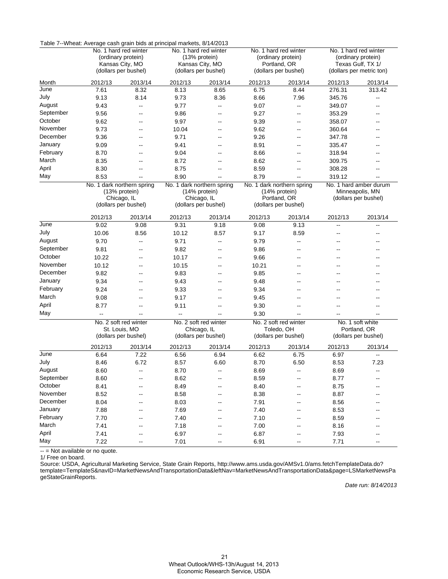|           | Table 7--Wheat: Average cash grain bids at principal markets, 8/14/2013 |                              |                            |                                        |         |                                             |                                         |                                         |
|-----------|-------------------------------------------------------------------------|------------------------------|----------------------------|----------------------------------------|---------|---------------------------------------------|-----------------------------------------|-----------------------------------------|
|           |                                                                         | No. 1 hard red winter        |                            | No. 1 hard red winter<br>(13% protein) |         | No. 1 hard red winter<br>(ordinary protein) |                                         | No. 1 hard red winter                   |
|           | (ordinary protein)<br>Kansas City, MO                                   |                              |                            | Kansas City, MO                        |         | Portland, OR                                | (ordinary protein)<br>Texas Gulf, TX 1/ |                                         |
|           |                                                                         | (dollars per bushel)         |                            | (dollars per bushel)                   |         | (dollars per bushel)                        |                                         | (dollars per metric ton)                |
| Month     | 2012/13                                                                 | 2013/14                      | 2012/13                    | 2013/14                                | 2012/13 | 2013/14                                     | 2012/13                                 | 2013/14                                 |
| June      | 7.61                                                                    | 8.32                         | 8.13                       | 8.65                                   | 6.75    | 8.44                                        | 276.31                                  | 313.42                                  |
| July      | 9.13                                                                    | 8.14                         | 9.73                       | 8.36                                   | 8.66    | 7.96                                        | 345.76                                  | $\overline{\phantom{a}}$                |
| August    | 9.43                                                                    | $\overline{\phantom{a}}$     | 9.77                       | $\overline{\phantom{a}}$               | 9.07    | $\overline{\phantom{a}}$                    | 349.07                                  | $\overline{\phantom{a}}$                |
| September | 9.56                                                                    | --                           | 9.86                       | $\overline{\phantom{a}}$               | 9.27    | --                                          | 353.29                                  |                                         |
| October   | 9.62                                                                    | --                           | 9.97                       | $\overline{\phantom{a}}$               | 9.39    | --                                          | 358.07                                  |                                         |
| November  | 9.73                                                                    | --                           | 10.04                      | $\overline{\phantom{a}}$               | 9.62    | --                                          | 360.64                                  |                                         |
| December  | 9.36                                                                    | --                           | 9.71                       | $\overline{\phantom{a}}$               | 9.26    | --                                          | 347.78                                  |                                         |
| January   | 9.09                                                                    | $\overline{\phantom{a}}$     | 9.41                       | $\sim$                                 | 8.91    | $-$                                         | 335.47                                  | $-$                                     |
| February  | 8.70                                                                    | --                           | 9.04                       | --                                     | 8.66    |                                             | 318.94                                  |                                         |
| March     | 8.35                                                                    | --                           | 8.72                       | --                                     | 8.62    | --                                          | 309.75                                  |                                         |
| April     | 8.30                                                                    | --                           | 8.75                       | $\overline{\phantom{a}}$               | 8.59    |                                             | 308.28                                  |                                         |
| May       | 8.53                                                                    | $\overline{\phantom{a}}$     | 8.90                       |                                        | 8.79    | --                                          | 319.12                                  |                                         |
|           |                                                                         | No. 1 dark northern spring   | No. 1 dark northern spring |                                        |         | No. 1 dark northern spring                  |                                         | No. 1 hard amber durum                  |
|           |                                                                         | (13% protein)<br>Chicago, IL |                            | (14% protein)<br>Chicago, IL           |         | (14% protein)<br>Portland, OR               |                                         | Minneapolis, MN<br>(dollars per bushel) |
|           |                                                                         | (dollars per bushel)         |                            | (dollars per bushel)                   |         | (dollars per bushel)                        |                                         |                                         |
|           |                                                                         |                              |                            |                                        |         |                                             |                                         |                                         |
| June      | 2012/13                                                                 | 2013/14                      | 2012/13                    | 2013/14                                | 2012/13 | 2013/14                                     | 2012/13                                 | 2013/14                                 |
|           | 9.02                                                                    | 9.08                         | 9.31                       | 9.18                                   | 9.08    | 9.13                                        | --                                      | $\overline{a}$                          |
| July      | 10.06                                                                   | 8.56                         | 10.12                      | 8.57                                   | 9.17    | 8.59                                        | --                                      | $\overline{\phantom{a}}$                |
| August    | 9.70                                                                    | $\overline{\phantom{a}}$     | 9.71                       | $\overline{\phantom{a}}$               | 9.79    | --                                          | ٠.                                      |                                         |
| September | 9.81                                                                    | $\overline{\phantom{a}}$     | 9.82                       | $-$                                    | 9.86    | $-$                                         | --                                      |                                         |
| October   | 10.22                                                                   | --                           | 10.17                      | $\overline{\phantom{a}}$               | 9.66    | --                                          |                                         |                                         |
| November  | 10.12                                                                   | $\overline{a}$               | 10.15                      | $\overline{\phantom{a}}$               | 10.21   | $\overline{a}$                              |                                         |                                         |
| December  | 9.82                                                                    | --                           | 9.83                       | $\overline{\phantom{a}}$               | 9.85    | --                                          |                                         |                                         |
| January   | 9.34                                                                    | $\overline{a}$               | 9.43                       | $\overline{\phantom{a}}$               | 9.48    | $-$                                         | --                                      |                                         |
| February  | 9.24                                                                    | --                           | 9.33                       | $\sim$ $\sim$                          | 9.34    | --                                          |                                         |                                         |
| March     | 9.08                                                                    | $\overline{\phantom{a}}$     | 9.17                       | $-$                                    | 9.45    | --                                          | --                                      |                                         |
| April     | 8.77                                                                    | $\overline{a}$               | 9.11                       | --                                     | 9.30    |                                             |                                         |                                         |
| May       | ц.                                                                      | Щ,                           | $\overline{a}$             |                                        | 9.30    |                                             |                                         |                                         |
|           |                                                                         | No. 2 soft red winter        |                            | No. 2 soft red winter                  |         | No. 2 soft red winter                       |                                         | No. 1 soft white                        |
|           |                                                                         | St. Louis, MO                |                            | Chicago, IL                            |         | Toledo, OH                                  |                                         | Portland, OR                            |
|           |                                                                         | (dollars per bushel)         |                            | (dollars per bushel)                   |         | (dollars per bushel)                        |                                         | (dollars per bushel)                    |
|           | 2012/13                                                                 | 2013/14                      | 2012/13                    | 2013/14                                | 2012/13 | 2013/14                                     | 2012/13                                 | 2013/14                                 |
| June      | 6.64                                                                    | 7.22                         | 6.56                       | 6.94                                   | 6.62    | 6.75                                        | 6.97                                    |                                         |
| July      | 8.46                                                                    | 6.72                         | 8.57                       | 6.60                                   | 8.70    | 6.50                                        | 8.53                                    | 7.23                                    |
| August    | 8.60                                                                    |                              | 8.70                       |                                        | 8.69    |                                             | 8.69                                    |                                         |
| September | 8.60                                                                    | $\overline{\phantom{a}}$     | 8.62                       | --                                     | 8.59    | --                                          | 8.77                                    |                                         |
| October   | 8.41                                                                    | $\overline{\phantom{a}}$     | 8.49                       | $\overline{\phantom{a}}$               | 8.40    |                                             | 8.75                                    |                                         |
| November  | 8.52                                                                    |                              | 8.58                       |                                        | 8.38    |                                             | 8.87                                    |                                         |
| December  | 8.04                                                                    |                              | 8.03                       |                                        | 7.91    |                                             | 8.56                                    |                                         |
| January   | 7.88                                                                    |                              | 7.69                       | --                                     | 7.40    |                                             | 8.53                                    |                                         |
| February  | 7.70                                                                    | --                           | 7.40                       | $\overline{\phantom{a}}$               | 7.10    |                                             | 8.59                                    |                                         |
| March     | 7.41                                                                    | --                           | 7.18                       | $\overline{\phantom{a}}$               | 7.00    |                                             | 8.16                                    |                                         |
| April     | 7.41                                                                    |                              | 6.97                       |                                        | 6.87    |                                             | 7.93                                    |                                         |
| May       | 7.22                                                                    |                              | 7.01                       |                                        | 6.91    |                                             | 7.71                                    |                                         |

Table 7--Wheat: Average cash grain bids at principal markets, 8/14/2013

-- = Not available or no quote.

1/ Free on board.

Source: USDA, Agricultural Marketing Service, State Grain Reports, http://www.ams.usda.gov/AMSv1.0/ams.fetchTemplateData.do? [template=TemplateS&navID=MarketNewsAndTransportationData&leftNav=MarketNewsAndTransportationData&page=LSMarketNewsPa](http://www.ams.usda.gov/AMSv1.0/ams.fetchTemplateData.do?template=TemplateS&navID=MarketNewsAndTransportationData&leftNav=MarketNewsAndTransportationData&page=LSMarketNewsPageStateGrainReports) geStateGrainReports.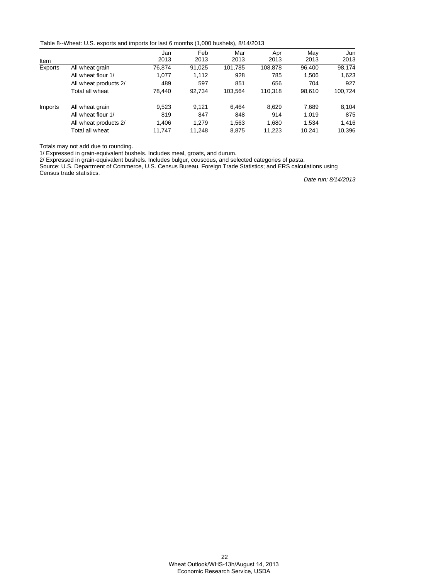Table 8--Wheat: U.S. exports and imports for last 6 months (1,000 bushels), 8/14/2013

|         |                       | Jan    | Feb    | Mar     | Apr     | May    | Jun     |
|---------|-----------------------|--------|--------|---------|---------|--------|---------|
| Item    |                       | 2013   | 2013   | 2013    | 2013    | 2013   | 2013    |
| Exports | All wheat grain       | 76.874 | 91,025 | 101,785 | 108.878 | 96.400 | 98,174  |
|         | All wheat flour 1/    | 1.077  | 1.112  | 928     | 785     | 1,506  | 1,623   |
|         | All wheat products 2/ | 489    | 597    | 851     | 656     | 704    | 927     |
|         | Total all wheat       | 78.440 | 92.734 | 103.564 | 110.318 | 98.610 | 100,724 |
| Imports | All wheat grain       | 9,523  | 9.121  | 6.464   | 8.629   | 7.689  | 8,104   |
|         | All wheat flour 1/    | 819    | 847    | 848     | 914     | 1.019  | 875     |
|         | All wheat products 2/ | 1.406  | 1.279  | 1,563   | 1.680   | 1.534  | 1,416   |
|         | Total all wheat       | 11.747 | 11,248 | 8,875   | 11,223  | 10.241 | 10,396  |

Totals may not add due to rounding.

1/ Expressed in grain-equivalent bushels. Includes meal, groats, and durum.

2/ Expressed in grain-equivalent bushels. Includes bulgur, couscous, and selected categories of pasta.

Source: U.S. Department of Commerce, U.S. Census Bureau, Foreign Trade Statistics; and ERS calculations using Census trade statistics.